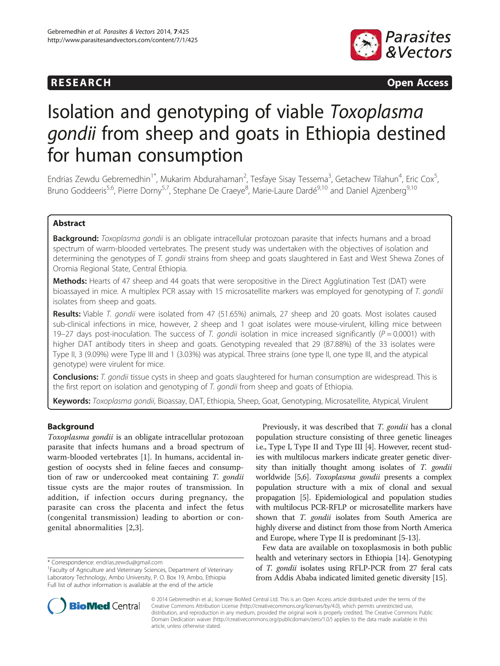# **RESEARCH RESEARCH CONSUMING ACCESS**



# Isolation and genotyping of viable Toxoplasma gondii from sheep and goats in Ethiopia destined for human consumption

Endrias Zewdu Gebremedhin<sup>1\*</sup>, Mukarim Abdurahaman<sup>2</sup>, Tesfaye Sisay Tessema<sup>3</sup>, Getachew Tilahun<sup>4</sup>, Eric Cox<sup>5</sup> , Bruno Goddeeris<sup>5,6</sup>, Pierre Dorny<sup>5,7</sup>, Stephane De Craeye<sup>8</sup>, Marie-Laure Dardé<sup>9,10</sup> and Daniel Ajzenberg<sup>9,10</sup>

# Abstract

Background: Toxoplasma gondii is an obligate intracellular protozoan parasite that infects humans and a broad spectrum of warm-blooded vertebrates. The present study was undertaken with the objectives of isolation and determining the genotypes of T. gondii strains from sheep and goats slaughtered in East and West Shewa Zones of Oromia Regional State, Central Ethiopia.

Methods: Hearts of 47 sheep and 44 goats that were seropositive in the Direct Agglutination Test (DAT) were bioassayed in mice. A multiplex PCR assay with 15 microsatellite markers was employed for genotyping of T. gondii isolates from sheep and goats.

Results: Viable T. gondii were isolated from 47 (51.65%) animals, 27 sheep and 20 goats. Most isolates caused sub-clinical infections in mice, however, 2 sheep and 1 goat isolates were mouse-virulent, killing mice between 19–27 days post-inoculation. The success of T. gondii isolation in mice increased significantly ( $P = 0.0001$ ) with higher DAT antibody titers in sheep and goats. Genotyping revealed that 29 (87.88%) of the 33 isolates were Type II, 3 (9.09%) were Type III and 1 (3.03%) was atypical. Three strains (one type II, one type III, and the atypical genotype) were virulent for mice.

Conclusions: T. gondii tissue cysts in sheep and goats slaughtered for human consumption are widespread. This is the first report on isolation and genotyping of T. gondii from sheep and goats of Ethiopia.

Keywords: Toxoplasma gondii, Bioassay, DAT, Ethiopia, Sheep, Goat, Genotyping, Microsatellite, Atypical, Virulent

# Background

Toxoplasma gondii is an obligate intracellular protozoan parasite that infects humans and a broad spectrum of warm-blooded vertebrates [[1\]](#page-6-0). In humans, accidental ingestion of oocysts shed in feline faeces and consumption of raw or undercooked meat containing T. gondii tissue cysts are the major routes of transmission. In addition, if infection occurs during pregnancy, the parasite can cross the placenta and infect the fetus (congenital transmission) leading to abortion or congenital abnormalities [\[2](#page-6-0),[3\]](#page-6-0).

Previously, it was described that T. gondii has a clonal population structure consisting of three genetic lineages i.e., Type I, Type II and Type III [\[4\]](#page-6-0). However, recent studies with multilocus markers indicate greater genetic diversity than initially thought among isolates of T. gondii worldwide [[5,6](#page-6-0)]. Toxoplasma gondii presents a complex population structure with a mix of clonal and sexual propagation [\[5](#page-6-0)]. Epidemiological and population studies with multilocus PCR-RFLP or microsatellite markers have shown that T. gondii isolates from South America are highly diverse and distinct from those from North America and Europe, where Type II is predominant [\[5-](#page-6-0)[13\]](#page-7-0).

Few data are available on toxoplasmosis in both public health and veterinary sectors in Ethiopia [\[14\]](#page-7-0). Genotyping of T. gondii isolates using RFLP-PCR from 27 feral cats from Addis Ababa indicated limited genetic diversity [\[15\]](#page-7-0).



© 2014 Gebremedhin et al.; licensee BioMed Central Ltd. This is an Open Access article distributed under the terms of the Creative Commons Attribution License (<http://creativecommons.org/licenses/by/4.0>), which permits unrestricted use, distribution, and reproduction in any medium, provided the original work is properly credited. The Creative Commons Public Domain Dedication waiver [\(http://creativecommons.org/publicdomain/zero/1.0/\)](http://creativecommons.org/publicdomain/zero/1.0/) applies to the data made available in this article, unless otherwise stated.

<sup>\*</sup> Correspondence: [endrias.zewdu@gmail.com](mailto:endrias.zewdu@gmail.com) <sup>1</sup>

<sup>&</sup>lt;sup>1</sup>Faculty of Agriculture and Veterinary Sciences, Department of Veterinary Laboratory Technology, Ambo University, P. O. Box 19, Ambo, Ethiopia Full list of author information is available at the end of the article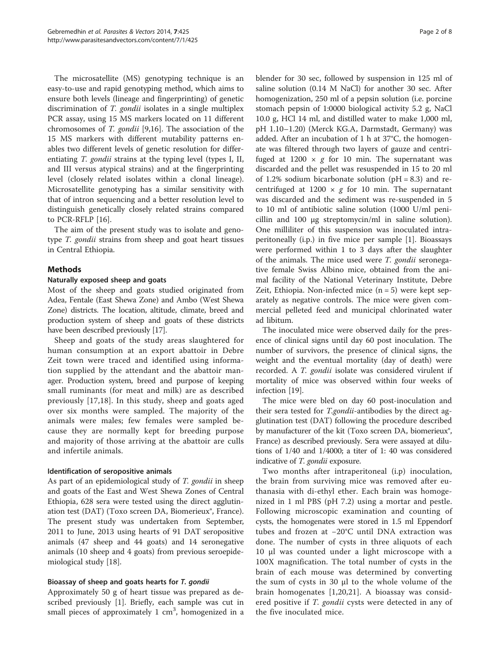The microsatellite (MS) genotyping technique is an easy-to-use and rapid genotyping method, which aims to ensure both levels (lineage and fingerprinting) of genetic discrimination of T. gondii isolates in a single multiplex PCR assay, using 15 MS markers located on 11 different chromosomes of T. gondii [\[9,16](#page-7-0)]. The association of the 15 MS markers with different mutability patterns enables two different levels of genetic resolution for differentiating *T. gondii* strains at the typing level (types I, II, and III versus atypical strains) and at the fingerprinting level (closely related isolates within a clonal lineage). Microsatellite genotyping has a similar sensitivity with that of intron sequencing and a better resolution level to distinguish genetically closely related strains compared to PCR-RFLP [[16\]](#page-7-0).

The aim of the present study was to isolate and genotype T. gondii strains from sheep and goat heart tissues in Central Ethiopia.

# Methods

# Naturally exposed sheep and goats

Most of the sheep and goats studied originated from Adea, Fentale (East Shewa Zone) and Ambo (West Shewa Zone) districts. The location, altitude, climate, breed and production system of sheep and goats of these districts have been described previously [\[17](#page-7-0)].

Sheep and goats of the study areas slaughtered for human consumption at an export abattoir in Debre Zeit town were traced and identified using information supplied by the attendant and the abattoir manager. Production system, breed and purpose of keeping small ruminants (for meat and milk) are as described previously [[17,18](#page-7-0)]. In this study, sheep and goats aged over six months were sampled. The majority of the animals were males; few females were sampled because they are normally kept for breeding purpose and majority of those arriving at the abattoir are culls and infertile animals.

# Identification of seropositive animals

As part of an epidemiological study of T. gondii in sheep and goats of the East and West Shewa Zones of Central Ethiopia, 628 sera were tested using the direct agglutination test (DAT) (Toxo screen DA, Biomerieux®, France). The present study was undertaken from September, 2011 to June, 2013 using hearts of 91 DAT seropositive animals (47 sheep and 44 goats) and 14 seronegative animals (10 sheep and 4 goats) from previous seroepidemiological study [[18\]](#page-7-0).

# Bioassay of sheep and goats hearts for T. gondii

Approximately 50 g of heart tissue was prepared as described previously [\[1](#page-6-0)]. Briefly, each sample was cut in small pieces of approximately 1 cm<sup>3</sup>, homogenized in a

blender for 30 sec, followed by suspension in 125 ml of saline solution (0.14 M NaCl) for another 30 sec. After homogenization, 250 ml of a pepsin solution (i.e. porcine stomach pepsin of 1:0000 biological activity 5.2 g, NaCl 10.0 g, HCl 14 ml, and distilled water to make 1,000 ml, pH 1.10–1.20) (Merck KG.A, Darmstadt, Germany) was added. After an incubation of 1 h at 37°C, the homogenate was filtered through two layers of gauze and centrifuged at  $1200 \times g$  for 10 min. The supernatant was discarded and the pellet was resuspended in 15 to 20 ml of 1.2% sodium bicarbonate solution ( $pH = 8.3$ ) and recentrifuged at  $1200 \times g$  for 10 min. The supernatant was discarded and the sediment was re-suspended in 5 to 10 ml of antibiotic saline solution (1000 U/ml penicillin and 100 μg streptomycin/ml in saline solution). One milliliter of this suspension was inoculated intraperitoneally (i.p.) in five mice per sample [\[1\]](#page-6-0). Bioassays were performed within 1 to 3 days after the slaughter of the animals. The mice used were T. gondii seronegative female Swiss Albino mice, obtained from the animal facility of the National Veterinary Institute, Debre Zeit, Ethiopia. Non-infected mice  $(n = 5)$  were kept separately as negative controls. The mice were given commercial pelleted feed and municipal chlorinated water ad libitum.

The inoculated mice were observed daily for the presence of clinical signs until day 60 post inoculation. The number of survivors, the presence of clinical signs, the weight and the eventual mortality (day of death) were recorded. A T. gondii isolate was considered virulent if mortality of mice was observed within four weeks of infection [[19\]](#page-7-0).

The mice were bled on day 60 post-inoculation and their sera tested for *T.gondii*-antibodies by the direct agglutination test (DAT) following the procedure described by manufacturer of the kit (Toxo screen DA, biomerieux<sup>®</sup>, France) as described previously. Sera were assayed at dilutions of 1/40 and 1/4000; a titer of 1: 40 was considered indicative of T. gondii exposure.

Two months after intraperitoneal (i.p) inoculation, the brain from surviving mice was removed after euthanasia with di-ethyl ether. Each brain was homogenized in 1 ml PBS (pH 7.2) using a mortar and pestle. Following microscopic examination and counting of cysts, the homogenates were stored in 1.5 ml Eppendorf tubes and frozen at −20°C until DNA extraction was done. The number of cysts in three aliquots of each 10 μl was counted under a light microscope with a 100X magnification. The total number of cysts in the brain of each mouse was determined by converting the sum of cysts in 30 μl to the whole volume of the brain homogenates [[1](#page-6-0),[20,21](#page-7-0)]. A bioassay was considered positive if *T. gondii* cysts were detected in any of the five inoculated mice.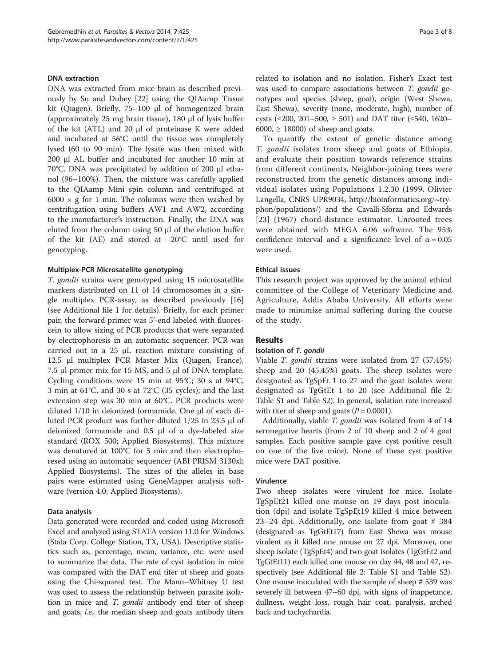#### DNA extraction

DNA was extracted from mice brain as described previously by Su and Dubey [[22](#page-7-0)] using the QIAamp Tissue kit (Qiagen). Briefly, 75–100 μl of homogenized brain (approximately 25 mg brain tissue), 180 μl of lysis buffer of the kit (ATL) and 20 μl of proteinase K were added and incubated at 56°C until the tissue was completely lysed (60 to 90 min). The lysate was then mixed with 200 μl AL buffer and incubated for another 10 min at 70°C. DNA was precipitated by addition of 200 μl ethanol (96–100%). Then, the mixture was carefully applied to the QIAamp Mini spin column and centrifuged at  $6000 \times g$  for 1 min. The columns were then washed by centrifugation using buffers AW1 and AW2, according to the manufacturer's instruction. Finally, the DNA was eluted from the column using 50 μl of the elution buffer of the kit (AE) and stored at −20°C until used for genotyping.

# Multiplex-PCR Microsatellite genotyping

T. gondii strains were genotyped using 15 microsatellite markers distributed on 11 of 14 chromosomes in a single multiplex PCR-assay, as described previously [[16](#page-7-0)] (see Additional file [1](#page-6-0) for details). Briefly, for each primer pair, the forward primer was 5'-end labeled with fluorescein to allow sizing of PCR products that were separated by electrophoresis in an automatic sequencer. PCR was carried out in a 25 μL reaction mixture consisting of 12.5 μl multiplex PCR Master Mix (Qiagen, France), 7.5 μl primer mix for 15 MS, and 5 μl of DNA template. Cycling conditions were 15 min at 95°C; 30 s at 94°C, 3 min at 61°C, and 30 s at 72°C (35 cycles); and the last extension step was 30 min at 60°C. PCR products were diluted 1/10 in deionized formamide. One μl of each diluted PCR product was further diluted 1/25 in 23.5 μl of deionized formamide and 0.5 μl of a dye-labeled size standard (ROX 500; Applied Biosystems). This mixture was denatured at 100°C for 5 min and then electrophoresed using an automatic sequencer (ABI PRISM 3130xl; Applied Biosystems). The sizes of the alleles in base pairs were estimated using GeneMapper analysis software (version 4.0; Applied Biosystems).

#### Data analysis

Data generated were recorded and coded using Microsoft Excel and analyzed using STATA version 11.0 for Windows (Stata Corp. College Station, TX, USA). Descriptive statistics such as, percentage, mean, variance, etc. were used to summarize the data. The rate of cyst isolation in mice was compared with the DAT end titer of sheep and goats using the Chi-squared test. The Mann–Whitney U test was used to assess the relationship between parasite isolation in mice and *T. gondii* antibody end titer of sheep and goats, i.e., the median sheep and goats antibody titers

related to isolation and no isolation. Fisher's Exact test was used to compare associations between T. gondii genotypes and species (sheep, goat), origin (West Shewa, East Shewa), severity (none, moderate, high), number of cysts (≤200, 201–500, ≥ 501) and DAT titer (≤540, 1620– 6000,  $\geq$  18000) of sheep and goats.

To quantify the extent of genetic distance among T. gondii isolates from sheep and goats of Ethiopia, and evaluate their position towards reference strains from different continents, Neighbor-joining trees were reconstructed from the genetic distances among individual isolates using Populations 1.2.30 (1999, Olivier Langella, CNRS UPR9034, [http://bioinformatics.org/~try](http://bioinformatics.org/~tryphon/populations/)[phon/populations/](http://bioinformatics.org/~tryphon/populations/)) and the Cavalli-Sforza and Edwards [[23](#page-7-0)] (1967) chord-distance estimator. Unrooted trees were obtained with MEGA 6.06 software. The 95% confidence interval and a significance level of  $\alpha = 0.05$ were used.

#### Ethical issues

This research project was approved by the animal ethical committee of the College of Veterinary Medicine and Agriculture, Addis Ababa University. All efforts were made to minimize animal suffering during the course of the study.

#### Results

#### Isolation of T. gondii

Viable T. gondii strains were isolated from 27 (57.45%) sheep and 20 (45.45%) goats. The sheep isolates were designated as TgSpEt 1 to 27 and the goat isolates were designated as TgGtEt 1 to 20 (see Additional file [2](#page-6-0): Table S1 and Table S2). In general, isolation rate increased with titer of sheep and goats ( $P = 0.0001$ ).

Additionally, viable T. gondii was isolated from 4 of 14 seronegative hearts (from 2 of 10 sheep and 2 of 4 goat samples. Each positive sample gave cyst positive result on one of the five mice). None of these cyst positive mice were DAT positive.

# Virulence

Two sheep isolates were virulent for mice. Isolate TgSpEt21 killed one mouse on 19 days post inoculation (dpi) and isolate TgSpEt19 killed 4 mice between 23–24 dpi. Additionally, one isolate from goat # 384 (designated as TgGtEt17) from East Shewa was mouse virulent as it killed one mouse on 27 dpi. Moreover, one sheep isolate (TgSpEt4) and two goat isolates (TgGtEt2 and TgGtEt11) each killed one mouse on day 44, 48 and 47, respectively (see Additional file [2](#page-6-0): Table S1 and Table S2). One mouse inoculated with the sample of sheep # 539 was severely ill between 47–60 dpi, with signs of inappetance, dullness, weight loss, rough hair coat, paralysis, arched back and tachychardia.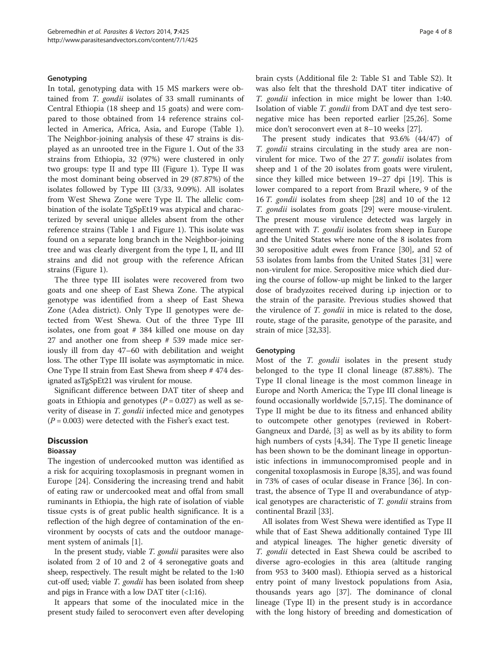#### Genotyping

In total, genotyping data with 15 MS markers were obtained from *T. gondii* isolates of 33 small ruminants of Central Ethiopia (18 sheep and 15 goats) and were compared to those obtained from 14 reference strains collected in America, Africa, Asia, and Europe (Table [1](#page-4-0)). The Neighbor-joining analysis of these 47 strains is displayed as an unrooted tree in the Figure [1.](#page-5-0) Out of the 33 strains from Ethiopia, 32 (97%) were clustered in only two groups: type II and type III (Figure [1\)](#page-5-0). Type II was the most dominant being observed in 29 (87.87%) of the isolates followed by Type III (3/33, 9.09%). All isolates from West Shewa Zone were Type II. The allelic combination of the isolate TgSpEt19 was atypical and characterized by several unique alleles absent from the other reference strains (Table [1](#page-4-0) and Figure [1](#page-5-0)). This isolate was found on a separate long branch in the Neighbor-joining tree and was clearly divergent from the type I, II, and III strains and did not group with the reference African strains (Figure [1](#page-5-0)).

The three type III isolates were recovered from two goats and one sheep of East Shewa Zone. The atypical genotype was identified from a sheep of East Shewa Zone (Adea district). Only Type II genotypes were detected from West Shewa. Out of the three Type III isolates, one from goat # 384 killed one mouse on day 27 and another one from sheep # 539 made mice seriously ill from day 47–60 with debilitation and weight loss. The other Type III isolate was asymptomatic in mice. One Type II strain from East Shewa from sheep # 474 designated asTgSpEt21 was virulent for mouse.

Significant difference between DAT titer of sheep and goats in Ethiopia and genotypes ( $P = 0.027$ ) as well as severity of disease in T. gondii infected mice and genotypes  $(P = 0.003)$  were detected with the Fisher's exact test.

#### **Discussion**

# Bioassay

The ingestion of undercooked mutton was identified as a risk for acquiring toxoplasmosis in pregnant women in Europe [[24\]](#page-7-0). Considering the increasing trend and habit of eating raw or undercooked meat and offal from small ruminants in Ethiopia, the high rate of isolation of viable tissue cysts is of great public health significance. It is a reflection of the high degree of contamination of the environment by oocysts of cats and the outdoor management system of animals [[1\]](#page-6-0).

In the present study, viable T. gondii parasites were also isolated from 2 of 10 and 2 of 4 seronegative goats and sheep, respectively. The result might be related to the 1:40 cut-off used; viable *T. gondii* has been isolated from sheep and pigs in France with a low DAT titer  $($ <a>  $\le$  1:16).

It appears that some of the inoculated mice in the present study failed to seroconvert even after developing brain cysts (Additional file [2:](#page-6-0) Table S1 and Table S2). It was also felt that the threshold DAT titer indicative of T. gondii infection in mice might be lower than 1:40. Isolation of viable T. gondii from DAT and dye test seronegative mice has been reported earlier [[25,26\]](#page-7-0). Some mice don't seroconvert even at 8–10 weeks [\[27\]](#page-7-0).

The present study indicates that 93.6% (44/47) of T. gondii strains circulating in the study area are nonvirulent for mice. Two of the 27 T. gondii isolates from sheep and 1 of the 20 isolates from goats were virulent, since they killed mice between 19–27 dpi [\[19](#page-7-0)]. This is lower compared to a report from Brazil where, 9 of the 16 T. gondii isolates from sheep [[28\]](#page-7-0) and 10 of the 12 T. gondii isolates from goats [[29](#page-7-0)] were mouse-virulent. The present mouse virulence detected was largely in agreement with T. gondii isolates from sheep in Europe and the United States where none of the 8 isolates from 30 seropositive adult ewes from France [\[30\]](#page-7-0), and 52 of 53 isolates from lambs from the United States [[31\]](#page-7-0) were non-virulent for mice. Seropositive mice which died during the course of follow-up might be linked to the larger dose of bradyzoites received during i.p injection or to the strain of the parasite. Previous studies showed that the virulence of T. gondii in mice is related to the dose, route, stage of the parasite, genotype of the parasite, and strain of mice [\[32,33](#page-7-0)].

#### **Genotyping**

Most of the T. gondii isolates in the present study belonged to the type II clonal lineage (87.88%). The Type II clonal lineage is the most common lineage in Europe and North America; the Type III clonal lineage is found occasionally worldwide [[5,7,](#page-6-0)[15\]](#page-7-0). The dominance of Type II might be due to its fitness and enhanced ability to outcompete other genotypes (reviewed in Robert-Gangneux and Dardé, [[3\]](#page-6-0) as well as by its ability to form high numbers of cysts [\[4](#page-6-0)[,34](#page-7-0)]. The Type II genetic lineage has been shown to be the dominant lineage in opportunistic infections in immunocompromised people and in congenital toxoplasmosis in Europe [[8,35\]](#page-7-0), and was found in 73% of cases of ocular disease in France [\[36](#page-7-0)]. In contrast, the absence of Type II and overabundance of atypical genotypes are characteristic of T. gondii strains from continental Brazil [\[33](#page-7-0)].

All isolates from West Shewa were identified as Type II while that of East Shewa additionally contained Type III and atypical lineages. The higher genetic diversity of T. gondii detected in East Shewa could be ascribed to diverse agro-ecologies in this area (altitude ranging from 953 to 3400 masl). Ethiopia served as a historical entry point of many livestock populations from Asia, thousands years ago [[37\]](#page-7-0). The dominance of clonal lineage (Type II) in the present study is in accordance with the long history of breeding and domestication of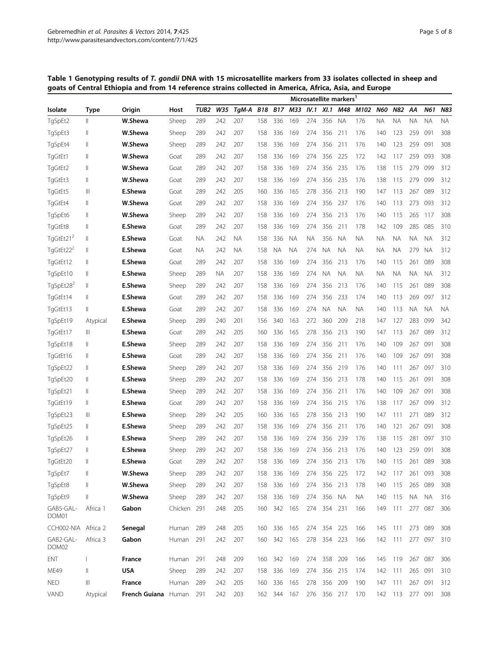<span id="page-4-0"></span>Table 1 Genotyping results of T. gondii DNA with 15 microsatellite markers from 33 isolates collected in sheep and goats of Central Ethiopia and from 14 reference strains collected in America, Africa, Asia, and Europe

| Isolate               | Type         |               |             | Microsatellite markers' |           |       |            |            |           |           |             |           |           |            |           |           |           |           |
|-----------------------|--------------|---------------|-------------|-------------------------|-----------|-------|------------|------------|-----------|-----------|-------------|-----------|-----------|------------|-----------|-----------|-----------|-----------|
|                       |              | Origin        | Host        | TUB <sub>2</sub>        | W35       | TgM-A | <b>B18</b> | <b>B17</b> | M33       | IV.1      | XI.1        | M48       | M102      | <b>N60</b> | N82       | AΑ        | N61       | N83       |
| TgSpEt2               | $\mathbb{I}$ | W.Shewa       | Sheep       | 289                     | 242       | 207   | 158        | 336        | 169       | 274       | 356         | <b>NA</b> | 176       | <b>NA</b>  | ΝA        | ΝA        | ΝA        | NA.       |
| TgSpEt3               | $\parallel$  | W.Shewa       | Sheep       | 289                     | 242       | 207   | 158        | 336        | 169       | 274       | 356         | 211       | 176       | 140        | 123       | 259       | 091       | 308       |
| TgSpEt4               | $\mathbf{I}$ | W.Shewa       | Sheep       | 289                     | 242       | 207   | 158        | 336        | 169       | 274       | 356         | 211       | 176       | 140        | 123       | 259       | 091       | 308       |
| TgGtEt1               | $\mathbf{I}$ | W.Shewa       | Goat        | 289                     | 242       | 207   | 158        | 336        | 169       | 274       | 356         | 225       | 172       | 142        | 117       | 259       | 093       | 308       |
| TgGtEt2               | Ш            | W.Shewa       | Goat        | 289                     | 242       | 207   | 158        | 336        | 169       | 274       | 356         | 235       | 176       | 138        | 115       | 279       | 099       | 312       |
| TgGtEt3               | $\parallel$  | W.Shewa       | Goat        | 289                     | 242       | 207   | 158        | 336        | 169       | 274       | 356         | 235       | 176       | 138        | 115       | 279       | 099       | 312       |
| TgGtEt5               | Ш            | E.Shewa       | Goat        | 289                     | 242       | 205   | 160        | 336        | 165       | 278       | 356         | 213       | 190       | 147        | 113       | 267       | 089       | 312       |
| TgGtEt4               | $\parallel$  | W.Shewa       | Goat        | 289                     | 242       | 207   | 158        | 336        | 169       | 274       | 356         | 237       | 176       | 140        | 113       | 273       | 093       | 312       |
| TgSpEt6               | $\mathbf{I}$ | W.Shewa       | Sheep       | 289                     | 242       | 207   | 158        | 336        | 169       | 274       | 356         | 213       | 176       | 140        | 115       | 265       | 117       | 308       |
| TgGtEt8               | $\parallel$  | E.Shewa       | Goat        | 289                     | 242       | 207   | 158        | 336        | 169       | 274       | 356         | 211       | 178       | 142        | 109       | 285       | 085       | 310       |
| TgGtEt21 <sup>2</sup> | Ш            | E.Shewa       | Goat        | ΝA                      | 242       | ΝA    | 158        | 336        | <b>NA</b> | <b>NA</b> | 356         | <b>NA</b> | <b>NA</b> | <b>NA</b>  | ΝA        | ΝA        | <b>NA</b> | 312       |
| TgGtEt22 <sup>2</sup> | $\parallel$  | E.Shewa       | Goat        | NA.                     | 242       | ΝA    | 158        | ΝA         | <b>NA</b> | 274       | ΝA          | <b>NA</b> | <b>NA</b> | <b>NA</b>  | <b>NA</b> | 279       | <b>NA</b> | 312       |
| TgGtEt12              | $\parallel$  | E.Shewa       | Goat        | 289                     | 242       | 207   | 158        | 336        | 169       | 274       | 356         | 213       | 176       | 140        | 115       | 261       | 089       | 308       |
| TgSpEt10              | $\parallel$  | E.Shewa       | Sheep       | 289                     | <b>NA</b> | 207   | 158        | 336        | 169       | 274       | ΝA          | <b>NA</b> | <b>NA</b> | <b>NA</b>  | ΝA        | ΝA        | <b>NA</b> | 312       |
| TgSpEt28 <sup>2</sup> | $\parallel$  | E.Shewa       | Sheep       | 289                     | 242       | 207   | 158        | 336        | 169       | 274       | 356         | 213       | 176       | 140        | 115       | 261       | 089       | 308       |
| TgGtEt14              | $\parallel$  | E.Shewa       | Goat        | 289                     | 242       | 207   | 158        | 336        | 169       | 274       | 356         | 233       | 174       | 140        | 113       | 269       | 097       | 312       |
| TgGtEt13              | $\parallel$  | E.Shewa       | Goat        | 289                     | 242       | 207   | 158        | 336        | 169       | 274       | ΝA          | <b>NA</b> | <b>NA</b> | 140        | 113       | <b>NA</b> | <b>NA</b> | <b>NA</b> |
| TgSpEt19              | Atypical     | E.Shewa       | Sheep       | 289                     | 240       | 201   | 156        | 340        | 163       | 272       | 360         | 209       | 218       | 147        | 127       | 283       | 099       | 342       |
| TgGtEt17              | Ш            | E.Shewa       | Goat        | 289                     | 242       | 205   | 160        | 336        | 165       | 278       | 356         | 213       | 190       | 147        | 113       | 267       | 089       | 312       |
| TgSpEt18              | Ш            | E.Shewa       | Sheep       | 289                     | 242       | 207   | 158        | 336        | 169       | 274       | 356         | 211       | 176       | 140        | 109       | 267       | 091       | 308       |
| TgGtEt16              | $\parallel$  | E.Shewa       | Goat        | 289                     | 242       | 207   | 158        | 336        | 169       | 274       | 356         | 211       | 176       | 140        | 109       | 267       | 091       | 308       |
| TgSpEt22              | $\parallel$  | E.Shewa       | Sheep       | 289                     | 242       | 207   | 158        | 336        | 169       | 274       | 356         | 219       | 176       | 140        | 111       | 267       | 097       | 310       |
| TgSpEt20              | Ш            | E.Shewa       | Sheep       | 289                     | 242       | 207   | 158        | 336        | 169       | 274       | 356         | 213       | 178       | 140        | 115       | 261       | 091       | 308       |
| TgSpEt21              | $\parallel$  | E.Shewa       | Sheep       | 289                     | 242       | 207   | 158        | 336        | 169       | 274       | 356         | 211       | 176       | 140        | 109       | 267       | 091       | 308       |
| TgGtEt19              | $\mathbb{I}$ | E.Shewa       | Goat        | 289                     | 242       | 207   | 158        | 336        | 169       | 274       | 356         | 215       | 176       | 138        | 117       | 267       | 099       | 312       |
| TgSpEt23              | Ш            | E.Shewa       | Sheep       | 289                     | 242       | 205   | 160        | 336        | 165       | 278       | 356         | 213       | 190       | 147        | 111       | 271       | 089       | 312       |
| TgSpEt25              | $\parallel$  | E.Shewa       | Sheep       | 289                     | 242       | 207   | 158        | 336        | 169       | 274       | 356         | 211       | 176       | 140        | 121       | 267       | 091       | 308       |
| TgSpEt26              | Ш            | E.Shewa       | Sheep       | 289                     | 242       | 207   | 158        | 336        | 169       | 274       | 356         | 239       | 176       | 138        | 115       | 281       | 097       | 310       |
| TgSpEt27              | Ш            | E.Shewa       | Sheep       | 289                     | 242       | 207   | 158        | 336        | 169       | 274       | 356         | 213       | 176       | 140        | 123       | 259       | 091       | 308       |
| TgGtEt20              | $\mathbb{I}$ | E.Shewa       | Goat        | 289                     | 242       | 207   | 158        | 336        | 169       | 274       | 356         | 213       | 176       | 140        | 115       | 261       | 089       | 308       |
| TgSpEt7               | Ш            | W.Shewa       | Sheep       | 289                     | 242       | 207   | 158        | 336        | 169       | 274       | 356         | 225       | 172       | 142        | 117       | 261       | 093       | 308       |
| TgSpEt8               | Ш            | W.Shewa       | Sheep       | 289                     | 242       | 207   | 158        | 336        | 169       | 274       | 356 213     |           | 178       | 140        | 115       | 265       | 089       | 308       |
| TgSpEt9               | $\parallel$  | W.Shewa       | Sheep       | 289                     | 242       | 207   | 158        | 336        | 169       | 274       | 356         | <b>NA</b> | <b>NA</b> | 140        | 115       | <b>NA</b> | <b>NA</b> | 316       |
| GAB5-GAL-<br>DOM01    | Africa 1     | Gabon         | Chicken 291 |                         | 248       | 205   | 160        | 342        | 165       | 274       | 354 231     |           | 166       | 149        | 111       |           | 277 087   | 306       |
| CCH002-NIA            | Africa 2     | Senegal       | Human       | 289                     | 248       | 205   | 160        | 336        | 165       | 274       | 354 225     |           | 166       | 145        | 111       |           | 273 089   | 308       |
| GAB2-GAL-<br>DOM02    | Africa 3     | Gabon         | Human       | 291                     | 242       | 207   | 160        | 342 165    |           |           | 278 354 223 |           | 166       | 142        | - 111     |           | 277 097   | 310       |
| ENT                   | 1            | France        | Human       | 291                     | 248       | 209   | 160        | 342        | 169       | 274       | 358         | 209       | 166       | 145        | 119       |           | 267 087   | 306       |
| ME49                  | $\parallel$  | <b>USA</b>    | Sheep       | 289                     | 242       | 207   | 158        | 336        | 169       | 274       | 356         | 215       | 174       | 142        | 111       | 265       | 091       | 310       |
| <b>NED</b>            | Ш            | France        | Human       | 289                     | 242       | 205   | 160        | 336        | 165       | 278       | 356         | 209       | 190       | 147        | 111       |           | 267 091   | 312       |
| VAND                  | Atypical     | French Guiana | Human       | 291                     | 242       | 203   |            | 162 344    | 167       |           | 276 356 217 |           | 170       | 142 113    |           |           | 277 091   | 308       |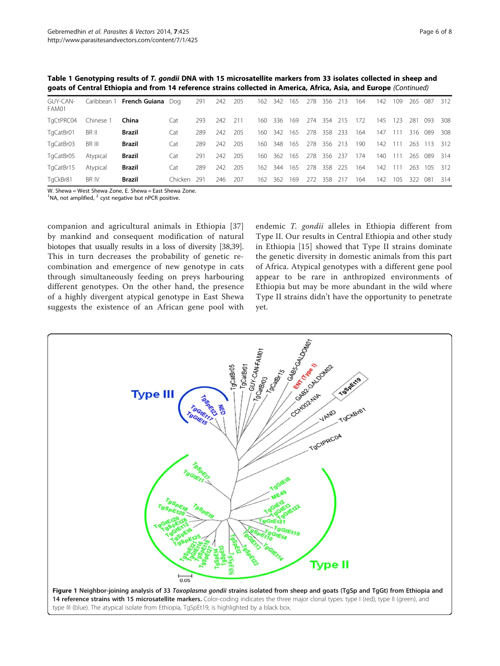<span id="page-5-0"></span>Table 1 Genotyping results of T. gondii DNA with 15 microsatellite markers from 33 isolates collected in sheep and goats of Central Ethiopia and from 14 reference strains collected in America, Africa, Asia, and Europe (Continued)

| GUY-CAN-<br>FAM01 |           | Caribbean 1 French Guiana Dog |         | 291  | 242 | 205 | 162 | 342 | 165 | 278 356 |     | 213   | 164 | 142 | 109  | 265 087 |         | 312 |
|-------------------|-----------|-------------------------------|---------|------|-----|-----|-----|-----|-----|---------|-----|-------|-----|-----|------|---------|---------|-----|
| TgCtPRC04         | Chinese 1 | China                         | Cat     | 293  | 242 | 211 | 160 | 336 | 169 | 274     | 354 | 215   | 172 | 145 | 123  | 281     | 093     | 308 |
| TgCatBr01         | BR II     | Brazil                        | Cat     | 289  | 242 | 205 | 160 | 342 | 165 | 278     | 358 | 233   | 164 | 147 | 111  |         | 316 089 | 308 |
| TgCatBr03         | BR III    | Brazil                        | Cat     | 289  | 242 | 205 | 160 | 348 | 165 | 278     | 356 | 213   | 190 | 142 | 111  | 263     | 113     | 312 |
| TgCatBr05         | Atypical  | Brazil                        | Cat     | 291  | 242 | 205 | 160 | 362 | 165 | 278     | 356 | - 237 | 174 | 140 | l 11 | 265     | 089     | 314 |
| TgCatBr15         | Atypical  | <b>Brazil</b>                 | Cat     | 289  | 242 | 205 | 162 | 344 | 165 | 278     | 358 | -225  | 164 | 142 | 111  | 263     | 105     | 312 |
| TgCkBr81          | BR IV     | Brazil                        | Chicken | -291 | 246 | 207 | 162 | 362 | 169 | 272     | 358 | 217   | 164 | 142 | 105  | 322     | 081     | 314 |

W. Shewa = West Shewa Zone, E. Shewa = East Shewa Zone.

 $1$ NA, not amplified,  $2$  cyst negative but nPCR positive.

companion and agricultural animals in Ethiopia [\[37](#page-7-0)] by mankind and consequent modification of natural biotopes that usually results in a loss of diversity [\[38,39](#page-7-0)]. This in turn decreases the probability of genetic recombination and emergence of new genotype in cats through simultaneously feeding on preys harbouring different genotypes. On the other hand, the presence of a highly divergent atypical genotype in East Shewa suggests the existence of an African gene pool with

endemic T. gondii alleles in Ethiopia different from Type II. Our results in Central Ethiopia and other study in Ethiopia [[15\]](#page-7-0) showed that Type II strains dominate the genetic diversity in domestic animals from this part of Africa. Atypical genotypes with a different gene pool appear to be rare in anthropized environments of Ethiopia but may be more abundant in the wild where Type II strains didn't have the opportunity to penetrate yet.

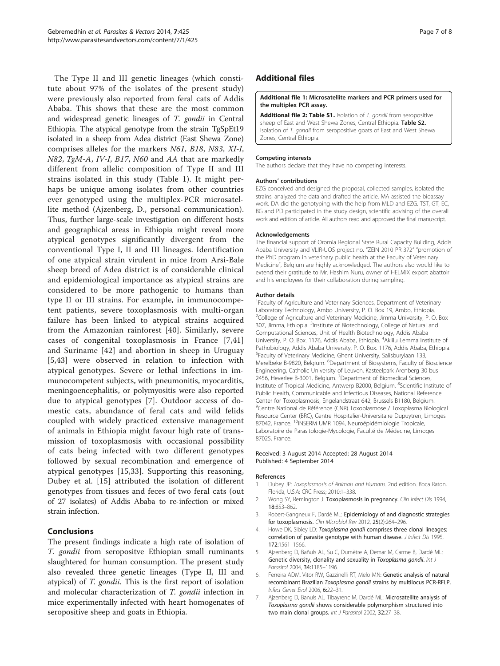<span id="page-6-0"></span>The Type II and III genetic lineages (which constitute about 97% of the isolates of the present study) were previously also reported from feral cats of Addis Ababa. This shows that these are the most common and widespread genetic lineages of T. gondii in Central Ethiopia. The atypical genotype from the strain TgSpEt19 isolated in a sheep from Adea district (East Shewa Zone) comprises alleles for the markers N61, B18, N83, XI-I, N82, TgM-A, IV-I, B17, N60 and AA that are markedly different from allelic composition of Type II and III strains isolated in this study (Table [1](#page-4-0)). It might perhaps be unique among isolates from other countries ever genotyped using the multiplex-PCR microsatellite method (Ajzenberg, D., personal communication). Thus, further large-scale investigation on different hosts and geographical areas in Ethiopia might reveal more atypical genotypes significantly divergent from the conventional Type I, II and III lineages. Identification of one atypical strain virulent in mice from Arsi-Bale sheep breed of Adea district is of considerable clinical and epidemiological importance as atypical strains are considered to be more pathogenic to humans than type II or III strains. For example, in immunocompetent patients, severe toxoplasmosis with multi-organ failure has been linked to atypical strains acquired from the Amazonian rainforest [\[40](#page-7-0)]. Similarly, severe cases of congenital toxoplasmosis in France [7[,41](#page-7-0)] and Suriname [[42](#page-7-0)] and abortion in sheep in Uruguay [5[,43](#page-7-0)] were observed in relation to infection with atypical genotypes. Severe or lethal infections in immunocompetent subjects, with pneumonitis, myocarditis, meningoencephalitis, or polymyositis were also reported due to atypical genotypes [7]. Outdoor access of domestic cats, abundance of feral cats and wild felids coupled with widely practiced extensive management of animals in Ethiopia might favour high rate of transmission of toxoplasmosis with occasional possibility of cats being infected with two different genotypes followed by sexual recombination and emergence of atypical genotypes [\[15](#page-7-0),[33\]](#page-7-0). Supporting this reasoning, Dubey et al. [[15\]](#page-7-0) attributed the isolation of different genotypes from tissues and feces of two feral cats (out of 27 isolates) of Addis Ababa to re-infection or mixed strain infection.

# Conclusions

The present findings indicate a high rate of isolation of T. gondii from seropositve Ethiopian small ruminants slaughtered for human consumption. The present study also revealed three genetic lineages (Type II, III and atypical) of T. gondii. This is the first report of isolation and molecular characterization of T. gondii infection in mice experimentally infected with heart homogenates of seropositive sheep and goats in Ethiopia.

# Additional files

#### [Additional file 1:](http://www.biomedcentral.com/content/supplementary/1756-3305-7-425-S1.doc) Microsatellite markers and PCR primers used for the multiplex PCR assay.

[Additional file 2: Table S1.](http://www.biomedcentral.com/content/supplementary/1756-3305-7-425-S2.doc) Isolation of T. gondii from seropositive sheep of East and West Shewa Zones, Central Ethiopia. Table S2. Isolation of T. gondii from seropositive goats of East and West Shewa Zones, Central Ethiopia.

#### Competing interests

The authors declare that they have no competing interests.

#### Authors' contributions

EZG conceived and designed the proposal, collected samples, isolated the strains, analyzed the data and drafted the article. MA assisted the bioassay work. DA did the genotyping with the help from MLD and EZG. TST, GT, EC, BG and PD participated in the study design, scientific advising of the overall work and edition of article. All authors read and approved the final manuscript.

#### Acknowledgements

The financial support of Oromia Regional State Rural Capacity Building, Addis Ababa University and VLIR-UOS project no. "ZEIN 2010 PR 372" "promotion of the PhD program in veterinary public health at the Faculty of Veterinary Medicine", Belgium are highly acknowledged. The authors also would like to extend their gratitude to Mr. Hashim Nuru, owner of HELMIX export abattoir and his employees for their collaboration during sampling.

#### Author details

<sup>1</sup> Faculty of Agriculture and Veterinary Sciences, Department of Veterinary Laboratory Technology, Ambo University, P. O. Box 19, Ambo, Ethiopia. <sup>2</sup>College of Agriculture and Veterinary Medicine, Jimma University, P. O. Box 307, Jimma, Ethiopia. <sup>3</sup>Institute of Biotechnology, College of Natural and Computational Sciences, Unit of Health Biotechnology, Addis Ababa University, P. O. Box. 1176, Addis Ababa, Ethiopia. <sup>4</sup>Aklilu Lemma Institute of Pathobiology, Addis Ababa University, P. O. Box. 1176, Addis Ababa, Ethiopia. 5 Faculty of Veterinary Medicine, Ghent University, Salisburylaan 133, Merelbeke B-9820, Belgium. <sup>6</sup>Department of Biosystems, Faculty of Bioscience Engineering, Catholic University of Leuven, Kasteelpark Arenberg 30 bus 2456, Heverlee B-3001, Belgium. <sup>7</sup> Department of Biomedical Sciences Institute of Tropical Medicine, Antwerp B2000, Belgium. <sup>8</sup>Scientific Institute of Public Health, Communicable and Infectious Diseases, National Reference Center for Toxoplasmosis, Engelandstraat 642, Brussels B1180, Belgium. <sup>9</sup>Centre National de Référence (CNR) Toxoplasmose / Toxoplasma Biological Resource Center (BRC), Centre Hospitalier-Universitaire Dupuytren, Limoges 87042, France. <sup>10</sup>INSERM UMR 1094, Neuroépidémiologie Tropicale, Laboratoire de Parasitologie-Mycologie, Faculté de Médecine, Limoges 87025, France.

#### Received: 3 August 2014 Accepted: 28 August 2014 Published: 4 September 2014

#### References

- 1. Dubey JP: Toxoplasmosis of Animals and Humans. 2nd edition. Boca Raton, Florida, U.S.A: CRC Press; 2010:1–338.
- 2. Wong SY, Remington J: Toxoplasmosis in pregnancy. Clin Infect Dis 1994, 18:853–862.
- 3. Robert-Gangneux F, Dardé ML: Epidemiology of and diagnostic strategies for toxoplasmosis. Clin Microbiol Rev 2012, 25(2):264-296.
- 4. Howe DK, Sibley LD: Toxoplasma gondii comprises three clonal lineages: correlation of parasite genotype with human disease. J Infect Dis 1995, 172:1561–1566.
- Ajzenberg D, Bañuls AL, Su C, Dumètre A, Demar M, Carme B, Dardé ML: Genetic diversity, clonality and sexuality in Toxoplasma gondii. Int J Parasitol 2004, 34:1185–1196.
- 6. Ferreira ADM, Vitor RW, Gazzinelli RT, Melo MN: Genetic analysis of natural recombinant Brazilian Toxoplasma gondii strains by multilocus PCR-RFLP. Infect Genet Evol 2006, 6:22–31.
- 7. Ajzenberg D, Banuls AL, Tibayrenc M, Dardé ML: Microsatellite analysis of Toxoplasma gondii shows considerable polymorphism structured into two main clonal groups. Int J Parasitol 2002, 32:27-38.